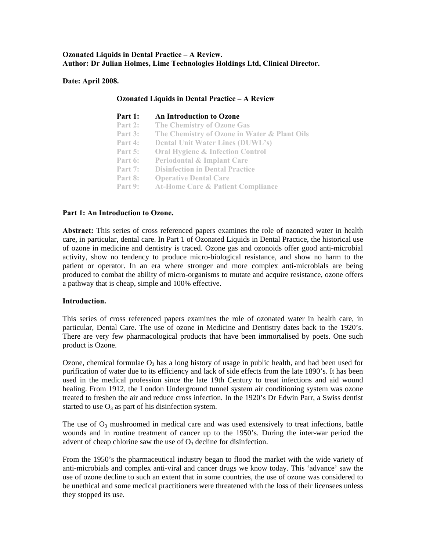## **Ozonated Liquids in Dental Practice – A Review. Author: Dr Julian Holmes, Lime Technologies Holdings Ltd, Clinical Director.**

**Ozonated Liquids in Dental Practice – A Review** 

**Date: April 2008.** 

| Part 1:   | An Introduction to Ozone                     |
|-----------|----------------------------------------------|
| Part 2:   | <b>The Chemistry of Ozone Gas</b>            |
| Part 3:   | The Chemistry of Ozone in Water & Plant Oils |
| Part 4:   | <b>Dental Unit Water Lines (DUWL's)</b>      |
| Part $5:$ | <b>Oral Hygiene &amp; Infection Control</b>  |
| Part 6:   | <b>Periodontal &amp; Implant Care</b>        |
| Part $7:$ | <b>Disinfection in Dental Practice</b>       |
| Part 8:   | <b>Operative Dental Care</b>                 |
| Part 9:   | <b>At-Home Care &amp; Patient Compliance</b> |

## Part 1: An Introduction to Ozone.

Abstract: This series of cross referenced papers examines the role of ozonated water in health care, in particular, dental care. In Part 1 of Ozonated Liquids in Dental Practice, the historical use of ozone in medicine and dentistry is traced. Ozone gas and ozonoids offer good anti-microbial activity, show no tendency to produce micro-biological resistance, and show no harm to the patient or operator. In an era where stronger and more complex anti-microbials are being produced to combat the ability of micro-organisms to mutate and acquire resistance, ozone offers a pathway that is cheap, simple and 100% effective.

#### **Introduction.**

There are very few pharmacological products that have been immortalised by poets. One such product is Ozone. This series of cross referenced papers examines the role of ozonated water in health care, in particular, Dental Care. The use of ozone in Medicine and Dentistry dates back to the 1920's.

treated to freshen the air and reduce cross infection. In the 1920's Dr Edwin Parr, a Swiss dentist Ozone, chemical formulae  $O_3$  has a long history of usage in public health, and had been used for purification of water due to its efficiency and lack of side effects from the late 1890's. It has been used in the medical profession since the late 19th Century to treat infections and aid wound healing. From 1912, the London Underground tunnel system air conditioning system was ozone started to use  $O_3$  as part of his disinfection system.

The use of  $O_3$  mushroomed in medical care and was used extensively to treat infections, battle wounds and in routine treatment of cancer up to the 1950's. During the inter-war period the advent of cheap chlorine saw the use of  $O_3$  decline for disinfection.

From the 1950's the pharmaceutical industry began to flood the market with the wide variety of anti-microbials and complex anti-viral and cancer drugs we know today. This 'advance' saw the use of ozone decline to such an extent that in some countries, the use of ozone was considered to be unethical and some medical practitioners were threatened with the loss of their licensees unless they stopped its use.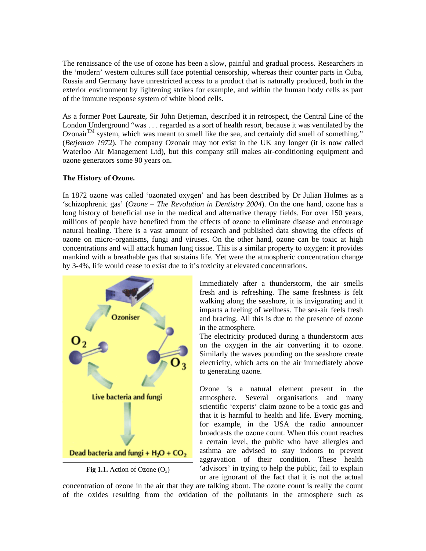The renaissance of the use of ozone has been a slow, painful and gradual process. Researchers in the 'modern' western cultures still face potential censorship, whereas their counter parts in Cuba, Russia and Germany have unrestricted access to a product that is naturally produced, both in the exterior environment by lightening strikes for example, and within the human body cells as part of the immune response system of white blood cells.

Waterloo Air Management Ltd), but this company still makes air-conditioning equipment and ozone generators some 90 years on. As a former Poet Laureate, Sir John Betjeman, described it in retrospect, the Central Line of the London Underground "was . . . regarded as a sort of health resort, because it was ventilated by the  $Ozonair^{TM}$  system, which was meant to smell like the sea, and certainly did smell of something." (*Betjeman 1972*). The company Ozonair may not exist in the UK any longer (it is now called

# **The History of Ozone.**

long history of beneficial use in the medical and alternative therapy fields. For over 150 years, millions of people have benefited from the effects of ozone to eliminate disease and encourage natural healing. There is a vast amount of research and published data showing the effects of ozone on micro-organisms, fungi and viruses. On the other hand, ozone can be toxic at high In 1872 ozone was called 'ozonated oxygen' and has been described by Dr Julian Holmes as a 'schizophrenic gas' (*Ozone – The Revolution in Dentistry 2004*). On the one hand, ozone has a concentrations and will attack human lung tissue. This is a similar property to oxygen: it provides mankind with a breathable gas that sustains life. Yet were the atmospheric concentration change by 3-4%, life would cease to exist due to it's toxicity at elevated concentrations.



and bracing. All this is due to the presence of ozone in the atmosphere. Immediately after a thunderstorm, the air smells fresh and is refreshing. The same freshness is felt walking along the seashore, it is invigorating and it imparts a feeling of wellness. The sea-air feels fresh

The electricity produced during a thunderstorm acts on the oxygen in the air converting it to ozone. Similarly the waves pounding on the seashore create electricity, which acts on the air immediately above to generating ozone.

for example, in the USA the radio announcer broadcasts the ozone count. When this count reaches Ozone is a natural element present in the atmosphere. Several organisations and many scientific 'experts' claim ozone to be a toxic gas and that it is harmful to health and life. Every morning, a certain level, the public who have allergies and asthma are advised to stay indoors to prevent aggravation of their condition. These health 'advisors' in trying to help the public, fail to explain or are ignorant of the fact that it is not the actual

concentration of ozone in the air that they are talking about. The ozone count is really the count of the oxides resulting from the oxidat ion of the pollutants in the atmosphere such as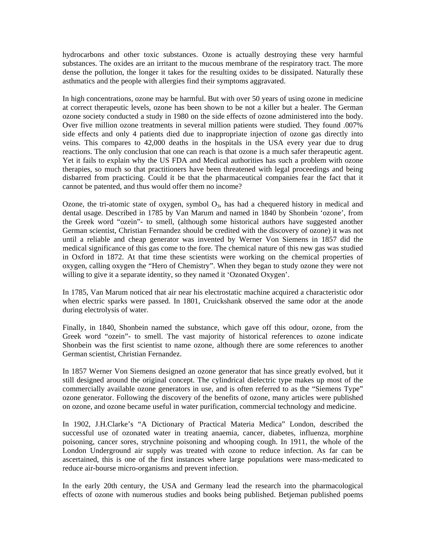hydrocarbons and other toxic substances. Ozone is actually destroying these very harmful substances. The oxides are an irritant to the mucous membrane of the respiratory tract. The more dense the pollution, the longer it takes for the resulting oxides to be dissipated. Naturally these asthmatics and the people with allergies find their symptoms aggravated.

In high concentrations, ozone may be harmful. But with over 50 years of using ozone in medicine at correct therapeutic levels, ozone has been shown to be not a killer but a healer. The German ozone society conducted a study in 1980 on the side effects of ozone administered into the body. Over five million ozone treatments in several million patients were studied. They found .007% side effects and only 4 patients died due to inappropriate injection of ozone gas directly into veins. This compares to 42,000 deaths in the hospitals in the USA every year due to drug reactions. The only conclusion that one can reach is that ozone is a much safer therapeutic agent. Yet it fails to explain why the US FDA and Medical authorities has such a problem with ozone therapies, so much so that practitioners have been threatened with legal proceedings and being disbarred from practicing. Could it be that the pharmaceutical companies fear the fact that it cannot be patented, and thus would offer them no income?

the Greek word "ozein"- to smell, (although some historical authors have suggested another German scientist, Christian Fernandez should be credited with the discovery of ozone) it was not Ozone, the tri-atomic state of oxygen, symbol  $O_3$ , has had a chequered history in medical and dental usage. Described in 1785 by Van Marum and named in 1840 by Shonbein 'ozone', from until a reliable and cheap generator was invented by Werner Von Siemens in 1857 did the medical significance of this gas come to the fore. The chemical nature of this new gas was studied in Oxford in 1872. At that time these scientists were working on the chemical properties of oxygen, calling oxygen the "Hero of Chemistry". When they began to study ozone they were not willing to give it a separate identity, so they named it 'Ozonated Oxygen'.

In 1785, Van Marum noticed that air near his electrostatic machine acquired a characteristic odor when electric sparks were passed. In 1801, Cruickshank observed the same odor at the anode during electrolysis of water.

Shonbein was the first scientist to name ozone, although there are some references to another German scientist, Christian Fernandez. Finally, in 1840, Shonbein named the substance, which gave off this odour, ozone, from the Greek word "ozein"- to smell. The vast majority of historical references to ozone indicate

commercially available ozone generators in use, and is often referred to as the "Siemens Type" ozone generator. Following the discovery of the benefits of ozone, many articles were published In 1857 Werner Von Siemens designed an ozone generator that has since greatly evolved, but it still designed around the original concept. The cylindrical dielectric type makes up most of the on ozone, and ozone became useful in water purification, commercial technology and medicine.

London Underground air supply was treated with ozone to reduce infection. As far can be In 1902, J.H.Clarke's "A Dictionary of Practical Materia Medica" London, described the successful use of ozonated water in treating anaemia, cancer, diabetes, influenza, morphine poisoning, cancer sores, strychnine poisoning and whooping cough. In 1911, the whole of the ascertained, this is one of the first instances where large populations were mass-medicated to reduce air-bourse micro-organisms and prevent infection.

effects of ozone with numerous studies and books being published. Betjeman published poems In the early 20th century, the USA and Germany lead the research into the pharmacological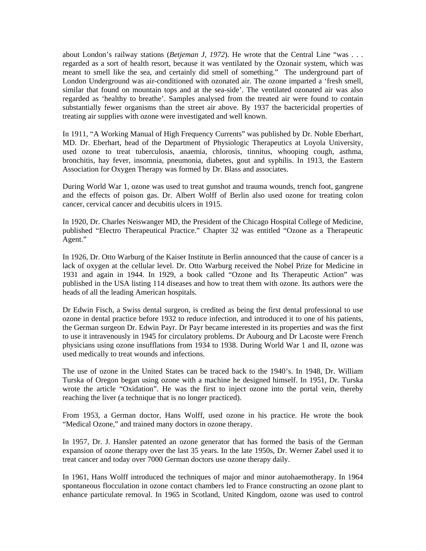about London's railway stations (*Betjeman J, 1972*). He wrote that the Central Line "was . . . regarded as a sort of health resort, because it was ventilated by the Ozonair system, which was meant to smell like the sea, and certainly did smell of something." The underground part of London Underground was air-conditioned with ozonated air. The ozone imparted a 'fresh smell, similar that found on mountain tops and at the sea-side'. The ventilated ozonated air was also regarded as 'healthy to breathe'. Samples analysed from the treated air were found to contain substantially fewer organisms than the street air above. By 1937 the bactericidal properties of treating air supplies with ozone were investigated and well known.

bronchitis, hay fever, insomnia, pneumonia, diabetes, gout and syphilis. In 1913, the Eastern Association for Oxygen Therapy was formed by Dr. Blass and associates. In 1911, "A Working Manual of High Frequency Currents" was published by Dr. Noble Eberhart, MD. Dr. Eberhart, head of the Department of Physiologic Therapeutics at Loyola University, used ozone to treat tuberculosis, anaemia, chlorosis, tinnitus, whooping cough, asthma,

During World War 1, ozone was used to treat gunshot and trauma wounds, trench foot, gangrene and the effects of poison gas. Dr. Albert Wolff of Berlin also used ozone for treating colon cancer, cervical cancer and decubitis ulcers in 1915.

In 1920, Dr. Charles Neiswanger MD, the President of the Chicago Hospital College of Medicine, published "Electro Therapeutical Practice." Chapter 32 was entitled "Ozone as a Therapeutic Agent."

In 1926, Dr. Otto Warburg of the Kaiser Institute in Berlin announced that the cause of cancer is a published in the USA listing 114 diseases and how to treat them with ozone. Its authors were the heads of all the leading American hospitals. lack of oxygen at the cellular level. Dr. Otto Warburg received the Nobel Prize for Medicine in 1931 and again in 1944. In 1929, a book called "Ozone and Its Therapeutic Action" was

to use it intravenously in 1945 for circulatory problems. Dr Aubourg and Dr Lacoste were French hysicians using ozone insufflations from 1934 to 1938. During World War 1 and II, ozone was p Dr Edwin Fisch, a Swiss dental surgeon, is credited as being the first dental professional to use ozone in dental practice before 1932 to reduce infection, and introduced it to one of his patients, the German surgeon Dr. Edwin Payr. Dr Payr became interested in its properties and was the first used medically to treat wounds and infections.

reaching the liver (a technique that is no longer practiced). The use of ozone in the United States can be traced back to the 1940's. In 1948, Dr. William Turska of Oregon began using ozone with a machine he designed himself. In 1951, Dr. Turska wrote the article "Oxidation". He was the first to inject ozone into the portal vein, thereby

From 1953, a German doctor, Hans Wolff, used ozone in his practice. He wrote the book "Medical Ozone," and trained many doctors in ozone therapy.

In 1957, Dr. J. Hansler patented an ozone generator that has formed the basis of the German expansion of ozone therapy over the last 35 years. In the late 1950s, Dr. Werner Zabel used it to treat cancer and today over 7000 German doctors use ozone therapy daily.

In 1961, Hans Wolff introduced the techniques of major and minor autohaemotherapy. In 1964 spontaneous flocculation in ozone contact chambers led to France constructing an ozone plant to enhance particulate removal. In 1965 in Scotland, United Kingdom, ozone was used to control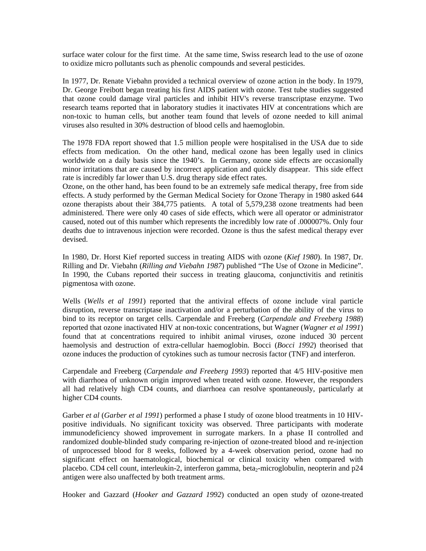surface water colour for the first time. At the same time, Swiss research lead to the use of ozone to oxidize micro pollutants such as phenolic compounds and several pesticides.

In 1977, Dr. Renate Viebahn provided a technical overview of ozone action in the body. In 1979, Dr. George Freibott began treating his first AIDS patient with ozone. Test tube studies suggested that ozone could damage viral particles and inhibit HIV's reverse transcriptase enzyme. Two research teams reported that in laboratory studies it inactivates HIV at concentrations which are non-toxic to human cells, but another team found that levels of ozone needed to kill animal viruses also resulted in 30% destruction of blood cells and haemoglobin.

The 1978 FDA report showed that 1.5 million people were hospitalised in the USA due to side effects from medication. On the other hand, medical ozone has been legally used in clinics worldwide on a daily basis since the 1940's. In Germany, ozone side effects are occasionally minor irritations that are caused by incorrect application and quickly disappear. This side effect rate is incredibly far lower than U.S. drug therapy side effect rates.

Ozone, on the other hand, has been found to be an extremely safe medical therapy, free from side effects. A study performed by the German Medical Society for Ozone Therapy in 1980 asked 644 ozone therapists about their 384,775 patients. A total of 5,579,238 ozone treatments had been administered. There were only 40 cases of side effects, which were all operator or administrator caused, noted out of this number which represents the incredibly low rate of .000007%. Only four deaths due to intravenous injection were recorded. Ozone is thus the safest medical therapy ever devised.

In 1980, Dr. Horst Kief reported success in treating AIDS with ozone (*Kief 1980*). In 1987, Dr. Rilling and Dr. Viebahn (*Rilling and Viebahn 1987*) published "The Use of Ozone in Medicine". In 1990, the Cubans reported their success in treating glaucoma, conjunctivitis and retinitis pigmentosa with ozone.

Wells (Wells et al 1991) reported that the antiviral effects of ozone include viral particle disruption, reverse transcriptase inactivation and/or a perturbation of the ability of the virus to haemolysis and destruction of extra-cellular haemoglobin. Bocci (Bocci 1992) theorised that ozone induces the production of cytokines such as tumour necrosis factor (TNF) and interferon. bind to its receptor on target cells. Carpendale and Freeberg (*Carpendale and Freeberg 1988*) reported that ozone inactivated HIV at non-toxic concentrations, but Wagner (*Wagner et al 1991*) found that at concentrations required to inhibit animal viruses, ozone induced 30 percent

Carpendale and Freeberg (*Carpendale and Freeberg 1993*) reported that 4/5 HIV-positive men with diarrhoea of unknown origin improved when treated with ozone. However, the responders all had relatively high CD4 counts, and diarrhoea can resolve spontaneously, particularly at higher CD4 counts.

Garber et al (Garber et al 1991) performed a phase I study of ozone blood treatments in 10 HIVpositive individuals. No significant toxicity was observed. Three participants with moderate significant effect on haematological, biochemical or clinical toxicity when compared with placebo. CD4 cell count, interleukin-2, interferon gamma, beta<sub>2</sub>-microglobulin, neopterin and p24 immunodeficiency showed improvement in surrogate markers. In a phase II controlled and randomized double-blinded study comparing re-injection of ozone-treated blood and re-injection of unprocessed blood for 8 weeks, followed by a 4-week observation period, ozone had no antigen were also unaffected by both treatment arms.

Hooker and Gazzard (*Hooker and Gazzard 1992*) conducted an open study of ozone-treated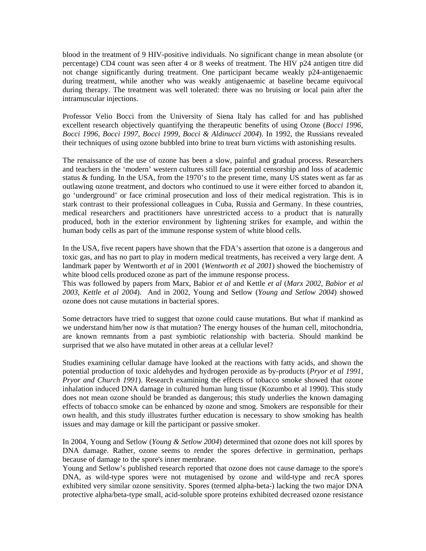blood in the treatment of 9 HIV-positive individuals. No significant change in mean absolute (or percentage) CD4 count was seen after 4 or 8 weeks of treatment. The HIV p24 antigen titre did not change significantly during treatment. One participant became weakly p24-antigenaemic during treatment, while another who was weakly antigenaemic at baseline became equivocal during therapy. The treatment was well tolerated: there was no bruising or local pain after the intramuscular injections.

Professor Velio Bocci from the University of Siena Italy has called for and has published excellent research objectively quantifying the therapeutic benefits of using Ozone (*Bocci 1996, Bocci 1996, Bocci 1997, Bocci 1999, Bocci & Aldinucci 2004*). In 1992, the Russians revealed their techniques of using ozone bubbled into brine to treat burn victims with astonishing results.

The renaissance of the use of ozone has been a slow, painful and gradual process. Researchers and teachers in the 'modern' western cultures still face potential censorship and loss of academic stark contrast to their professional colleagues in Cuba, Russia and Germany. In these countries, medical researchers and practitioners have unrestricted access to a product that is naturally status & funding. In the USA, from the 1970's to the present time, many US states went as far as outlawing ozone treatment, and doctors who continued to use it were either forced to abandon it, go 'underground' or face criminal prosecution and loss of their medical registration. This is in produced, both in the exterior environment by lightening strikes for example, and within the human body cells as part of the immune response system of white blood cells.

In the USA, five recent papers have shown that the FDA's assertion that ozone is a dangerous and toxic gas, and has no part to play in modern medical treatments, has received a very large dent. A landmark paper by Wentworth *et al* in 2001 (*Wentworth et al 2001*) showed the biochemistry of white blood cells produced ozone as part of the immune response process.

2003, Kettle et al 2004). And in 2002, Young and Setlow (*Young and Setlow 2004*) showed ozone does not cause mutations in bacterial spores. This was followed by papers from Marx, Babior *et al* and Kettle *et al* (*Marx 2002, Babior et al* 

are known remnants from a past symbiotic relationship with bacteria. Should mankind be Some detractors have tried to suggest that ozone could cause mutations. But what if mankind as we understand him/her now *is* that mutation? The energy houses of the human cell, mitochondria, surprised that we also have mutated in other areas at a cellular level?

Studies examining cellular damage have looked at the reactions with fatty acids, and shown the potential production of toxic aldehydes and hydrogen peroxide as by-products (*Pryor et al 1991*, effects of tobacco smoke can be enhanced by ozone and smog. Smokers are responsible for their own health, and this study illustrates further education is necessary to show smoking has health *Pryor and Church 1991*). Research examining the effects of tobacco smoke showed that ozone inhalation induced DNA damage in cultured human lung tissue (Kozumbo et al 1990). This study does not mean ozone should be branded as dangerous; this study underlies the known damaging issues and may damage or kill the participant or passive smoker.

In 2004, Young and Setlow (*Young & Setlow 2004*) determined that ozone does not kill spores by DNA damage. Rather, ozone seems to render the spores defective in germination, perhaps because of damage to the spore's inner membrane.

exhibited very similar ozone sensitivity. Spores (termed alpha-beta-) lacking the two major DNA protective alpha/beta-type small, acid-soluble spore proteins exhibited decreased ozone resistance Young and Setlow's published research reported that ozone does not cause damage to the spore's DNA, as wild-type spores were not mutagenised by ozone and wild-type and recA spores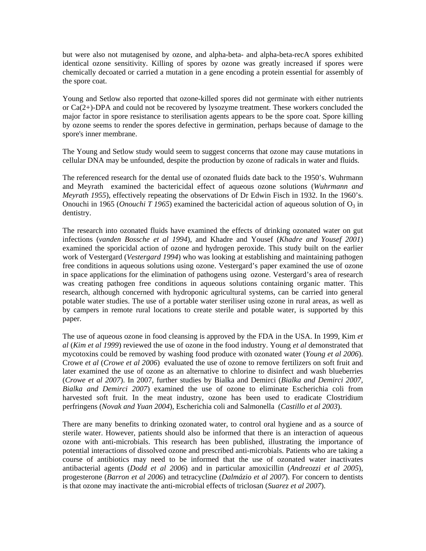but were also not mutagenised by ozone, and alpha-beta- and alpha-beta-recA spores exhibited identical ozone sensitivity. Killing of spores by ozone was greatly increased if spores were chemically decoated or carried a mutation in a gene encoding a protein essential for assembly of the spore coat.

Young and Setlow also reported that ozone-killed spores did not germinate with either nutrients or Ca(2+)-DPA and could not be recovered by lysozyme treatment. These workers concluded the major factor in spore resistance to sterilisation agents appears to be the spore coat. Spore killing by ozone seems to render the spores defective in germination, perhaps because of damage to the spore's inner membrane.

The Young and Setlow study would seem to suggest concerns that ozone may cause mutations in cellular DNA may be unfounded, despite the production by ozone of radicals in water and fluids.

*Meyrath 1955*), effectively repeating the observations of Dr Edwin Fisch in 1932. In the 1960's. Onouchi in 1965 (*Onouchi T 1965*) examined the bactericidal action of aqueous solution of  $O_3$  in The referenced research for the dental use of ozonated fluids date back to the 1950's. Wuhrmann and Meyrath examined the bactericidal effect of aqueous ozone solutions (*Wuhrmann and*  dentistry.

The research into ozonated fluids have examined the effects of drinking ozonated water on gut in space applications for the elimination of pathogens using ozone. Vestergard's area of research was creating pathogen free conditions in aqueous solutions containing organic matter. This infections (*vanden Bossche et al 1994*), and Khadre and Yousef (*Khadre and Yousef 2001*) examined the sporicidal action of ozone and hydrogen peroxide. This study built on the earlier work of Vestergard (*Vestergard 1994*) who was looking at establishing and maintaining pathogen free conditions in aqueous solutions using ozone. Vestergard's paper examined the use of ozone research, although concerned with hydroponic agricultural systems, can be carried into general potable water studies. The use of a portable water steriliser using ozone in rural areas, as well as by campers in remote rural locations to create sterile and potable water, is supported by this paper.

 *et al 2007*). In 2007, further studies by Bialka and Demirci (*Bialka and Demirci 2007,*  (*Crowe* Bialka and Demirci 2007) examined the use of ozone to eliminate Escherichia coli from The use of aqueous ozone in food cleansing is approved by the FDA in the USA. In 1999, Kim *et al* (*Kim et al 1999*) reviewed the use of ozone in the food industry. Young *et al* demonstrated that mycotoxins could be removed by washing food produce with ozonated water (*Young et al 2006*). Crowe *et al* (*Crowe et al 2006*) evaluated the use of ozone to remove fertilizers on soft fruit and later examined the use of ozone as an alternative to chlorine to disinfect and wash blueberries harvested soft fruit. In the meat industry, ozone has been used to eradicate Clostridium perfringens (*Novak and Yuan 2004*), Escherichia coli and Salmonella (*Castillo et al 2003*).

*005*), antibacterial agents (*Dodd et al 2006*) and in particular amoxicillin (*Andreozzi et al 2* progesterone (*Barron et al 2006*) and tetracycline (*Dalmázio et al 2007*). For concern to dentists There are many benefits to drinking ozonated water, to control oral hygiene and as a source of sterile water. However, patients should also be informed that there is an interaction of aqueous ozone with anti-microbials. This research has been published, illustrating the importance of potential interactions of dissolved ozone and prescribed anti-microbials. Patients who are taking a course of antibiotics may need to be informed that the use of ozonated water inactivates is that ozone may inactivate the anti-microbial effects of triclosan (*Suarez et al 2007*).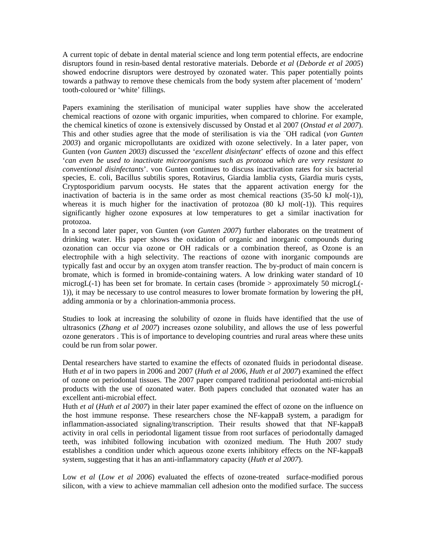A current topic of debate in dental material science and long term potential effects, are endocrine disruptors found in resin-based dental restorative materials. Deborde *et al* (*Deborde et al 2005*) showed endocrine disruptors were destroyed by ozonated water. This paper potentially points towards a pathway to remove these chemicals from the body system after placement of 'modern' tooth-coloured or 'white' fillings.

Papers examining the sterilisation of municipal water supplies have show the accelerated Gunten (von Gunten 2003) discussed the 'excellent disinfectant' effects of ozone and this effect '*can even be used to inactivate microorganisms such as protozoa which are very resistant to* chemical reactions of ozone with organic impurities, when compared to chlorine. For example, the chemical kinetics of ozone is extensively discussed by Onstad et al 2007 (*Onstad et al 2007*). This and other studies agree that the mode of sterilisation is via the <sup>-</sup>OH radical (von Gunten *2003*) and organic micropollutants are oxidized with ozone selectively. In a later paper, von *conventional disinfectants*'. von Gunten continues to discuss inactivation rates for six bacterial species, E. coli, Bacillus subtilis spores, Rotavirus, Giardia lamblia cysts, Giardia muris cysts, Cryptosporidium parvum oocysts. He states that the apparent activation energy for the inactivation of bacteria is in the same order as most chemical reactions (35-50 kJ mol(-1)), whereas it is much higher for the inactivation of protozoa  $(80 \text{ kJ mol}(-1))$ . This requires significantly higher ozone exposures at low temperatures to get a similar inactivation for protozoa.

microgL(-1) has been set for bromate. In certain cases (bromide > approximately 50 microgL(-In a second later paper, von Gunten (*von Gunten 2007*) further elaborates on the treatment of drinking water. His paper shows the oxidation of organic and inorganic compounds during ozonation can occur via ozone or OH radicals or a combination thereof, as Ozone is an electrophile with a high selectivity. The reactions of ozone with inorganic compounds are typically fast and occur by an oxygen atom transfer reaction. The by-product of main concern is bromate, which is formed in bromide-containing waters. A low drinking water standard of 10 1)), it may be necessary to use control measures to lower bromate formation by lowering the pH, adding ammonia or by a chlorination-ammonia process.

Studies to look at increasing the solubility of ozone in fluids have identified that the use of ultrasonics (*Zhang et al 2007*) increases ozone solubility, and allows the use of less powerful ozone generators . This is of importance to developing countries and rural areas where these units could be run from solar power.

Dental researchers have started to examine the effects of ozonated fluids in periodontal disease. Huth *et al* in two papers in 2006 and 2007 (*Huth et al 2006, Huth et al 2007*) examined the effect of ozone on periodontal tissues. The 2007 paper compared traditional periodontal anti-microbial products with the use of ozonated water. Both papers concluded that ozonated water has an excellent anti-microbial effect.

Huth *et al (Huth et al 2007)* in their later paper examined the effect of ozone on the influence on the host immune response. These researchers chose the NF-kappaB system, a paradigm for system, suggesting that it has an anti-inflammatory capacity (*Huth et al 2007*). inflammation-associated signaling/transcription. Their results showed that that NF-kappaB activity in oral cells in periodontal ligament tissue from root surfaces of periodontally damaged teeth, was inhibited following incubation with ozonized medium. The Huth 2007 study establishes a condition under which aqueous ozone exerts inhibitory effects on the NF-kappaB

Low *et al (Low et al 2006)* evaluated the effects of ozone-treated surface-modified porous silicon, with a view to achieve mammalian cell adhesion onto the modified surface. The success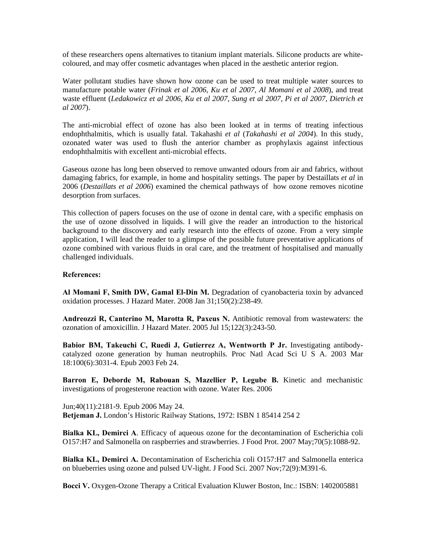of these researchers opens alternatives to titanium implant materials. Silicone products are whitecoloured, and may offer cosmetic advantages when placed in the aesthetic anterior region.

Water pollutant studies have shown how ozone can be used to treat multiple water sources to manufacture potable water (*Frinak et al 2006, Ku et al 2007, Al Momani et al 2008*), and treat waste effluent (*Ledakowicz et al 2006, Ku et al 2007, Sung et al 2007, Pi et al 2007, Dietrich et al 2007*).

The anti-microbial effect of ozone has also been looked at in terms of treating infectious endophthalmitis, which is usually fatal. Takahashi *et al* (*Takahashi et al 2004*). In this study, ozonated water was used to flush the anterior chamber as prophylaxis against infectious endophthalmitis with excellent anti-microbial effects.

Gaseous ozone has long been observed to remove unwanted odours from air and fabrics, without damaging fabrics, for example, in home and hospitality settings. The paper by Destaillats *et al* in 2006 (*Destaillats et al 2006*) examined the chemical pathways of how ozone removes nicotine desorption from surfaces.

This collection of papers focuses on the use of ozone in dental care, with a specific emphasis on ozone combined with various fluids in oral care, and the treatment of hospitalised and manually hallenged individuals. c the use of ozone dissolved in liquids. I will give the reader an introduction to the historical background to the discovery and early research into the effects of ozone. From a very simple application, I will lead the reader to a glimpse of the possible future preventative applications of

## **References:**

**Al Momani F, Smith DW, Gamal El-Din M.** Degradation of cyanobacteria toxin by advanced oxidation processes. J Hazard Mater. 2008 Jan 31;150(2):238-49.

Andreozzi R, Canterino M, Marotta R, Paxeus N. Antibiotic removal from wastewaters: the ozonation of amoxicillin. J Hazard Mater. 2005 Jul 15;122(3):243-50.

catalyzed ozone generation by human neutrophils. Proc Natl Acad Sci U S A. 2003 Mar 8:100(6):3031-4. Epub 2003 Feb 24. 1 **Babior BM, Takeuchi C, Ruedi J, Gutierrez A, Wentworth P Jr.** Investigating antibody-

investigations of progesterone reaction with ozone. Water Res. 2006 **Barron E, Deborde M, Rabouan S, Mazellier P, Legube B.** Kinetic and mechanistic

Betjeman J. London's Historic Railway Stations, 1972: ISBN 1 85414 254 2 Jun;40(11):2181-9. Epub 2006 May 24.

O157:H7 and Salmonella on raspberries and strawberries. J Food Prot. 2007 May;70(5):1088-92. **Bialka KL, Demirci A**. Efficacy of aqueous ozone for the decontamination of Escherichia coli

Bialka KL, Demirci A. Decontamination of Escherichia coli O157:H7 and Salmonella enterica on blueberries using ozone and pulsed UV-light. J Food Sci. 2007 Nov;72(9):M391-6.

**Bocci V.** Oxygen-Ozone Therapy a Critical Evaluation Kluwer Boston, Inc.: ISBN: 1402005881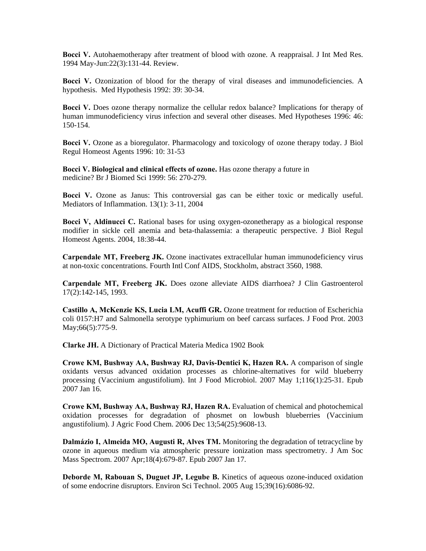**Bocci V.** Autohaemotherapy after treatment of blood with ozone. A reappraisal. J Int Med Res. 1994 May-Jun:22(3):131-44. Review.

Bocci V. Ozonization of blood for the therapy of viral diseases and immunodeficiencies. A hypothesis. Med Hypothesis 1992: 39: 30-34.

human immunodeficiency virus infection and several other diseases. Med Hypotheses 1996: 46: 50-154. 1 **Bocci V.** Does ozone therapy normalize the cellular redox balance? Implications for therapy of

Bocci V. Ozone as a bioregulator. Pharmacology and toxicology of ozone therapy today. J Biol Regul Homeost Agents 1996: 10: 31-53

medicine? Br J Biomed Sci 1999: 56: 270-279. **Bocci V. Biological and clinical effects of ozone.** Has ozone therapy a future in

Mediators of Inflammation. 13(1): 3-11, 2004 **Bocci V.** Ozone as Janus: This controversial gas can be either toxic or medically useful.

Bocci V, Aldinucci C. Rational bases for using oxygen-ozonetherapy as a biological response modifier in sickle cell anemia and beta-thalassemia: a therapeutic perspective. J Biol Regul Homeost Agents. 2004, 18:38-44.

Carpendale MT, Freeberg JK. Ozone inactivates extracellular human immunodeficiency virus at non-toxic concentrations. Fourth Intl Conf AIDS, Stockholm, abstract 3560, 1988.

**Carpendale MT, Freeberg JK.** Does ozone alleviate AIDS diarrhoea? J Clin Gastroenterol 17(2):142-145, 1993.

coli 0157:H7 and Salmonella serotype typhimurium on beef carcass surfaces. J Food Prot. 2003 May;66(5):775-9. **Castillo A, McKenzie KS, Lucia LM, Acuffi GR.** Ozone treatment for reduction of Escherichia

Clarke JH. A Dictionary of Practical Materia Medica 1902 Book

processing (Vaccinium angustifolium). Int J Food Microbiol. 2007 May 1;116(1):25-31. Epub 2007 Jan 16. **Crowe KM, Bushway AA, Bushway RJ, Davis-Dentici K, Hazen RA.** A comparison of single oxidants versus advanced oxidation processes as chlorine-alternatives for wild blueberry

**rowe KM, Bushway AA, Bushway RJ, Hazen RA.** Evaluation of chemical and photochemical **C** oxidation processes for degradation of phosmet on lowbush blueberries (Vaccinium angustifolium). J Agric Food Chem. 2006 Dec 13;54(25):9608-13.

Dalmázio I, Almeida MO, Augusti R, Alves TM. Monitoring the degradation of tetracycline by ozone in aqueous medium via atmospheric pressure ionization mass spectrometry. J Am Soc Mass Spectrom. 2007 Apr;18(4):679-87. Epub 2007 Jan 17.

Deborde M, Rabouan S, Duguet JP, Legube B. Kinetics of aqueous ozone-induced oxidation of some endocrine disruptors. Environ Sci Technol. 2005 Aug 15;39(16):6086-92.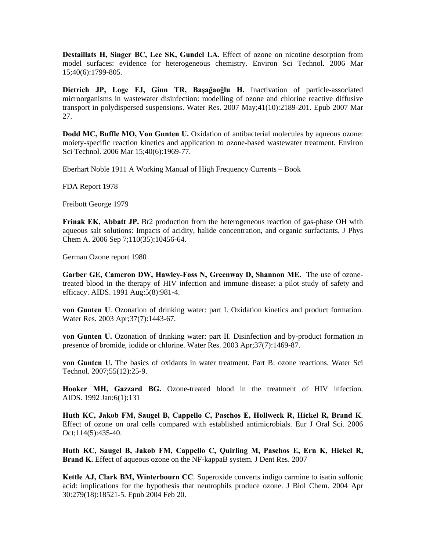**Destaillats H, Singer BC, Lee SK, Gundel LA.** Effect of ozone on nicotine desorption from model surfaces: evidence for heterogeneous chemistry. Environ Sci Technol. 2006 Mar 15;40(6):1799-805.

**Dietrich JP, Loge FJ, Ginn TR, Başağaoğlu H.** Inactivation of particle-associated microorganisms in wastewater disinfection: modelling of ozone and chlorine reactive diffusive transport in polydispersed suspensions. Water Res. 2007 May;41(10):2189-201. Epub 2007 Mar 27.

Dodd MC, Buffle MO, Von Gunten U. Oxidation of antibacterial molecules by aqueous ozone: moiety-specific reaction kinetics and application to ozone-based wastewater treatment. Environ Sci Technol. 2006 Mar 15;40(6):1969-77.

Eberhart Noble 1911 A Working Manual of High Frequency Currents – Book

FDA Report 1978

Freibott George 1979

Frinak EK, Abbatt JP. Br2 production from the heterogeneous reaction of gas-phase OH with aqueous salt solutions: Impacts of acidity, halide concentration, and organic surfactants. J Phys Chem A. 2006 Sep 7;110(35):10456-64.

German Ozone report 1980

Garber GE, Cameron DW, Hawley-Foss N, Greenway D, Shannon ME. The use of ozonetreated blood in the therapy of HIV infection and immune disease: a pilot study of safety and efficacy. AIDS. 1991 Aug:5(8):981-4.

von Gunten U. Ozonation of drinking water: part I. Oxidation kinetics and product formation. Water Res. 2003 Apr;37(7):1443-67.

**von Gunten U.** Ozonation of drinking water: part II. Disinfection and by-product formation in presence of bromide, iodide or chlorine. Water Res. 2003 Apr;37(7):1469-87.

von Gunten U. The basics of oxidants in water treatment. Part B: ozone reactions. Water Sci Technol. 2007;55(12):25-9.

Hooker MH, Gazzard BG. Ozone-treated blood in the treatment of HIV infection. AIDS. 1992 Jan:6(1):131

Huth KC, Jakob FM, Saugel B, Cappello C, Paschos E, Hollweck R, Hickel R, Brand K. Effect of ozone on oral cells compared with established antimicrobials. Eur J Oral Sci. 2006 Oct;114(5):435-40.

Brand K. Effect of aqueous ozone on the NF-kappaB system. J Dent Res. 2007 **Huth KC, Saugel B, Jakob FM, Cappello C, Quirling M, Paschos E, Ern K, Hickel R,** 

30:279(18):18521-5. Epub 2004 Feb 20. **Kettle AJ, Clark BM, Winterbourn CC**. Superoxide converts indigo carmine to isatin sulfonic acid: implications for the hypothesis that neutrophils produce ozone. J Biol Chem. 2004 Apr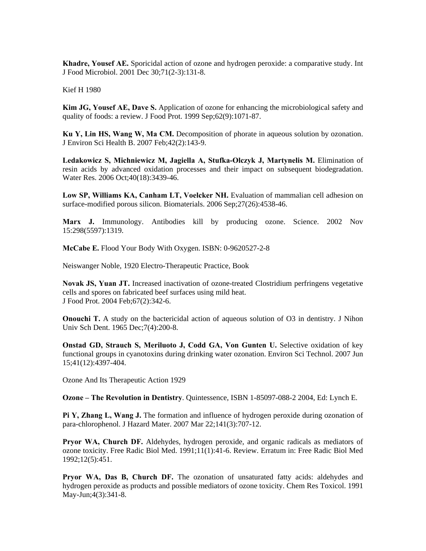**Khadre, Yousef AE.** Sporicidal action of ozone and hydrogen peroxide: a comparative study. Int J Food Microbiol. 2001 Dec 30;71(2-3):131-8.

Kief H 1980

**Kim JG, Yousef AE, Dave S.** Application of ozone for enhancing the microbiological safety and quality of foods: a review. J Food Prot. 1999 Sep;62(9):1071-87.

Ku Y, Lin HS, Wang W, Ma CM. Decomposition of phorate in aqueous solution by ozonation. Environ Sci Health B. 2007 Feb;42(2):143-9. J

Ledakowicz S, Michniewicz M, Jagiella A, Stufka-Olczyk J, Martynelis M. Elimination of resin acids by advanced oxidation processes and their impact on subsequent biodegradation. Water Res. 2006 Oct;40(18):3439-46.

surface-modified porous silicon. Biomaterials. 2006 Sep;27(26):4538-46. **Low SP, Williams KA, Canham LT, Voelcker NH.** Evaluation of mammalian cell adhesion on

**Marx J.** Immunology. Antibodies kill by producing ozone. Science. 2002 Nov 15:298(5597):1319.

**cCabe E.** Flood Your Body With Oxygen. ISBN: 0-9620527-2-8 **M**

Neiswanger Noble, 1920 Electro-Therapeutic Practice, Book

cells and spores on fabricated beef surfaces using mild heat. Food Prot. 2004 Feb;67(2):342-6. J **Novak JS, Yuan JT.** Increased inactivation of ozone-treated Clostridium perfringens vegetative

**nouchi T.** A study on the bactericidal action of aqueous solution of O3 in dentistry. J Nihon **O** Univ Sch Dent. 1965 Dec;7(4):200-8.

functional groups in cyanotoxins during drinking water ozonation. Environ Sci Technol. 2007 Jun **Onstad GD, Strauch S, Meriluoto J, Codd GA, Von Gunten U.** Selective oxidation of key 15;41(12):4397-404.

Ozone And Its Therapeutic Action 1929

**zone – The Revolution in Dentistry**. Quintessence, ISBN 1-85097-088-2 2004, Ed: Lynch E. **O**

para-chlorophenol. J Hazard Mater. 2007 Mar 22;141(3):707-12. **Pi Y, Zhang L, Wang J.** The formation and influence of hydrogen peroxide during ozonation of

Pryor WA, Church DF. Aldehydes, hydrogen peroxide, and organic radicals as mediators of ozone toxicity. Free Radic Biol Med. 1991;11(1):41-6. Review. Erratum in: Free Radic Biol Med 1992;12(5):451.

hydrogen peroxide as products and possible mediators of ozone toxicity. Chem Res Toxicol. 1991 May-Jun;4(3):341-8. **Pryor WA, Das B, Church DF.** The ozonation of unsaturated fatty acids: aldehydes and